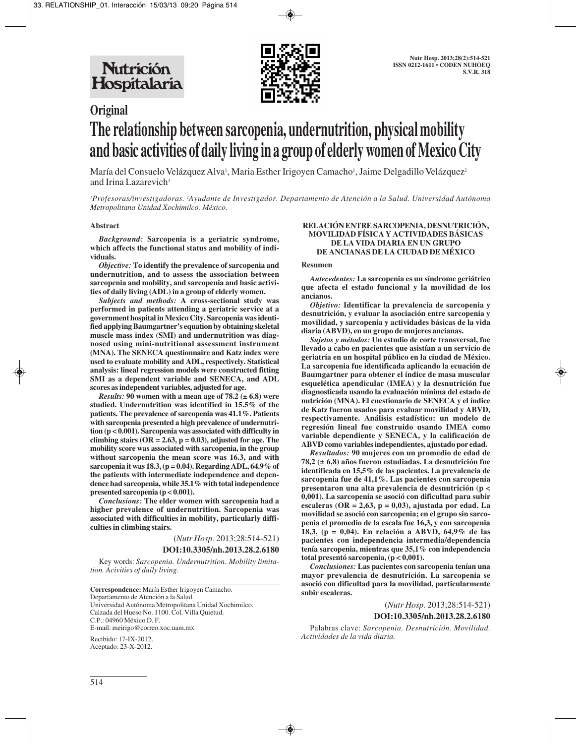

# **Original The relationship between sarcopenia, undernutrition, physical mobility and basic activities of daily living in a group of elderly women of Mexico City**

María del Consuelo Velázquez Alva<sup>1</sup>, Maria Esther Irigoyen Camacho<sup>1</sup>, Jaime Delgadillo Velázquez<sup>2</sup> and Irina Lazarevich<sup>1</sup>

*1 Profesoras/investigadoras. 2 Ayudante de Investigador. Departamento de Atención a la Salud. Universidad Autónoma Metropolitana Unidad Xochimilco. México.*

#### **Abstract**

*Background:* **Sarcopenia is a geriatric syndrome, which affects the functional status and mobility of individuals.** 

*Objective:* **To identify the prevalence of sarcopenia and undernutrition, and to assess the association between sarcopenia and mobility, and sarcopenia and basic activities of daily living (ADL) in a group of elderly women.** 

*Subjects and methods:* **A cross-sectional study was performed in patients attending a geriatric service at a government hospital in Mexico City. Sarcopenia was identified applying Baumgartner's equation by obtaining skeletal muscle mass index (SMI) and undernutrition was diagnosed using mini-nutritional assessment instrument (MNA). The SENECA questionnaire and Katz index were used to evaluate mobility and ADL, respectively. Statistical analysis: lineal regression models were constructed fitting SMI as a dependent variable and SENECA, and ADL scores as independent variables, adjusted for age.** 

*Results:* **90 women with a mean age of 78.2 (± 6.8) were studied. Undernutrition was identified in 15.5% of the patients. The prevalence of sarcopenia was 41.1%. Patients with sarcopenia presented a high prevalence of undernutrition (p < 0.001). Sarcopenia was associated with difficulty in** climbing stairs  $(OR = 2.63, p = 0.03)$ , adjusted for age. The **mobility score was associated with sarcopenia, in the group without sarcopenia the mean score was 16.3, and with sarcopenia it was 18.3, (p = 0.04). Regarding ADL, 64.9% of the patients with intermediate independence and dependence had sarcopenia, while 35.1% with total independence presented sarcopenia (p < 0.001).** 

*Conclusions:* **The elder women with sarcopenia had a higher prevalence of undernutrition. Sarcopenia was associated with difficulties in mobility, particularly difficulties in climbing stairs.**

(*Nutr Hosp.* 2013;28:514-521)

# **DOI:10.3305/nh.2013.28.2.6180**

Key words: *Sarcopenia. Undernutrition. Mobility limitation. Acivities of daily living.*

**Correspondence:** María Esther Irigoyen Camacho. Departamento de Atención a la Salud. Universidad Autónoma Metropolitana Unidad Xochimilco. Calzada del Hueso No. 1100. Col. Villa Quietud. C.P.: 04960 México D. F. E-mail: meirigo@correo.xoc.uam.mx

Recibido: 17-IX-2012. Aceptado: 23-X-2012.

### **RELACIÓN ENTRE SARCOPENIA, DESNUTRICIÓN, MOVILIDAD FÍSICA Y ACTIVIDADES BÁSICAS DE LA VIDA DIARIA EN UN GRUPO DE ANCIANAS DE LA CIUDAD DE MÉXICO**

#### **Resumen**

*Antecedentes:* **La sarcopenia es un síndrome geriátrico que afecta el estado funcional y la movilidad de los ancianos.** 

*Objetivo:* **Identificar la prevalencia de sarcopenia y desnutrición, y evaluar la asociación entre sarcopenia y movilidad, y sarcopenia y actividades básicas de la vida diaria (ABVD), en un grupo de mujeres ancianas.** 

*Sujetos y métodos:* **Un estudio de corte transversal, fue llevado a cabo en pacientes que asistían a un servicio de geriatría en un hospital público en la ciudad de México. La sarcopenia fue identificada aplicando la ecuación de Baumgartner para obtener el índice de masa muscular esquelética apendicular (IMEA) y la desnutrición fue diagnosticada usando la evaluación mínima del estado de nutrición (MNA). El cuestionario de SENECA y el índice de Katz fueron usados para evaluar movilidad y ABVD, respectivamente. Análisis estadístico: un modelo de regresión lineal fue construido usando IMEA como variable dependiente y SENECA, y la calificación de ABVD como variables independientes, ajustado por edad.** 

*Resultados:* **90 mujeres con un promedio de edad de 78,2 (± 6,8) años fueron estudiadas. La desnutrición fue identificada en 15,5% de las pacientes. La prevalencia de sarcopenia fue de 41,1%. Las pacientes con sarcopenia presentaron una alta prevalencia de desnutrición (p < 0,001). La sarcopenia se asoció con dificultad para subir escaleras (OR = 2,63, p = 0,03), ajustada por edad. La movilidad se asoció con sarcopenia; en el grupo sin sarcopenia el promedio de la escala fue 16,3, y con sarcopenia 18,3, (p = 0,04). En relación a ABVD, 64,9% de las pacientes con independencia intermedia/dependencia tenía sarcopenia, mientras que 35,1% con independencia total presentó sarcopenia, (p < 0,001).** 

*Conclusiones:* **Las pacientes con sarcopenia tenían una mayor prevalencia de desnutrición. La sarcopenia se asoció con dificultad para la movilidad, particularmente subir escaleras.**

(*Nutr Hosp.* 2013;28:514-521)

#### **DOI:10.3305/nh.2013.28.2.6180**

Palabras clave: *Sarcopenia. Desnutrición. Movilidad. Actividades de la vida diaria.*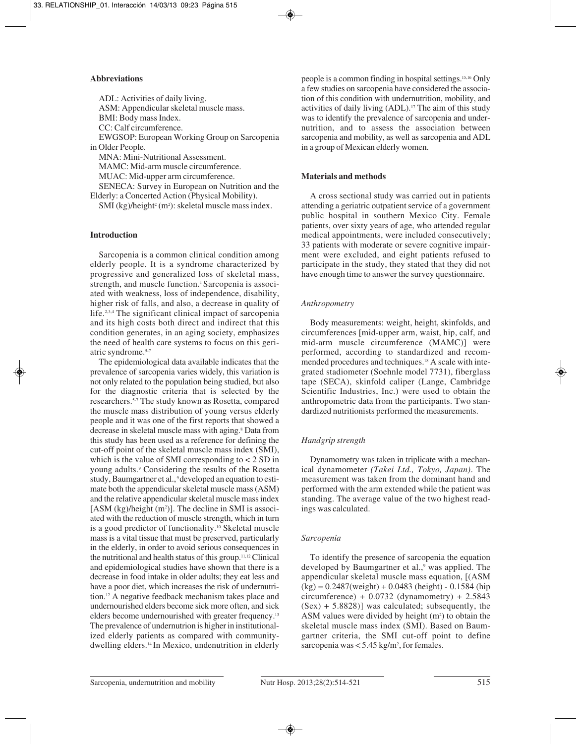### **Abbreviations**

ADL: Activities of daily living. ASM: Appendicular skeletal muscle mass. BMI: Body mass Index. CC: Calf circumference. EWGSOP: European Working Group on Sarcopenia in Older People. MNA: Mini-Nutritional Assessment.

MAMC: Mid-arm muscle circumference. MUAC: Mid-upper arm circumference. SENECA: Survey in European on Nutrition and the Elderly: a Concerted Action (Physical Mobility).

 $SMI$  (kg)/height<sup>2</sup> (m<sup>2</sup>): skeletal muscle mass index.

# **Introduction**

Sarcopenia is a common clinical condition among elderly people. It is a syndrome characterized by progressive and generalized loss of skeletal mass, strength, and muscle function.<sup>1</sup> Sarcopenia is associated with weakness, loss of independence, disability, higher risk of falls, and also, a decrease in quality of life.2,3,4 The significant clinical impact of sarcopenia and its high costs both direct and indirect that this condition generates, in an aging society, emphasizes the need of health care systems to focus on this geriatric syndrome.5-7

The epidemiological data available indicates that the prevalence of sarcopenia varies widely, this variation is not only related to the population being studied, but also for the diagnostic criteria that is selected by the researchers.5-7 The study known as Rosetta, compared the muscle mass distribution of young versus elderly people and it was one of the first reports that showed a decrease in skeletal muscle mass with aging.8 Data from this study has been used as a reference for defining the cut-off point of the skeletal muscle mass index (SMI), which is the value of SMI corresponding to  $<$  2 SD in young adults.9 Considering the results of the Rosetta study, Baumgartner et al., 9 developed an equation to estimate both the appendicular skeletal muscle mass (ASM) and the relative appendicular skeletal muscle mass index  $[ASM (kg)/height (m<sup>2</sup>)]$ . The decline in SMI is associated with the reduction of muscle strength, which in turn is a good predictor of functionality.10 Skeletal muscle mass is a vital tissue that must be preserved, particularly in the elderly, in order to avoid serious consequences in the nutritional and health status of this group.<sup>11,12</sup> Clinical and epidemiological studies have shown that there is a decrease in food intake in older adults; they eat less and have a poor diet, which increases the risk of undernutrition.12 A negative feedback mechanism takes place and undernourished elders become sick more often, and sick elders become undernourished with greater frequency.13 The prevalence of undernutrion is higher in institutionalized elderly patients as compared with communitydwelling elders.14 In Mexico, undenutrition in elderly

people is a common finding in hospital settings.15,16 Only a few studies on sarcopenia have considered the association of this condition with undernutrition, mobility, and activities of daily living (ADL).17 The aim of this study was to identify the prevalence of sarcopenia and undernutrition, and to assess the association between sarcopenia and mobility, as well as sarcopenia and ADL in a group of Mexican elderly women.

# **Materials and methods**

A cross sectional study was carried out in patients attending a geriatric outpatient service of a government public hospital in southern Mexico City. Female patients, over sixty years of age, who attended regular medical appointments, were included consecutively; 33 patients with moderate or severe cognitive impairment were excluded, and eight patients refused to participate in the study, they stated that they did not have enough time to answer the survey questionnaire.

# *Anthropometry*

Body measurements: weight, height, skinfolds, and circumferences [mid-upper arm, waist, hip, calf, and mid-arm muscle circumference (MAMC)] were performed, according to standardized and recommended procedures and techniques.18 A scale with integrated stadiometer (Soehnle model 7731), fiberglass tape (SECA), skinfold caliper (Lange, Cambridge Scientific Industries, Inc.) were used to obtain the anthropometric data from the participants. Two standardized nutritionists performed the measurements.

# *Handgrip strength*

Dynamometry was taken in triplicate with a mechanical dynamometer *(Takei Ltd., Tokyo, Japan)*. The measurement was taken from the dominant hand and performed with the arm extended while the patient was standing. The average value of the two highest readings was calculated.

# *Sarcopenia*

To identify the presence of sarcopenia the equation developed by Baumgartner et al.,<sup>9</sup> was applied. The appendicular skeletal muscle mass equation, [(ASM  $(kg) = 0.2487$ (weight) + 0.0483 (height) - 0.1584 (hip circumference) +  $0.0732$  (dynamometry) + 2.5843  $(Sex) + 5.8828$ ] was calculated; subsequently, the ASM values were divided by height  $(m<sup>2</sup>)$  to obtain the skeletal muscle mass index (SMI). Based on Baumgartner criteria, the SMI cut-off point to define sarcopenia was  $<$  5.45 kg/m<sup>2</sup>, for females.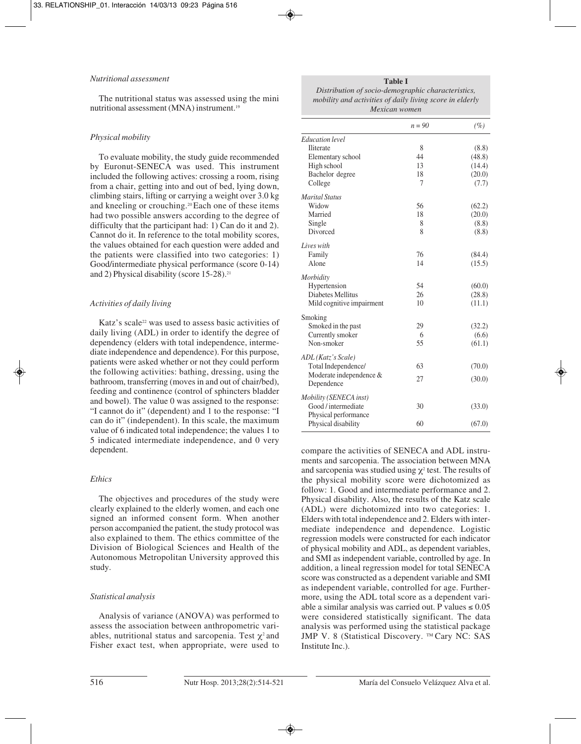#### *Nutritional assessment*

The nutritional status was assessed using the mini nutritional assessment (MNA) instrument.19

### *Physical mobility*

To evaluate mobility, the study guide recommended by Euronut-SENECA was used. This instrument included the following actives: crossing a room, rising from a chair, getting into and out of bed, lying down, climbing stairs, lifting or carrying a weight over 3.0 kg and kneeling or crouching.20 Each one of these items had two possible answers according to the degree of difficulty that the participant had: 1) Can do it and 2). Cannot do it. In reference to the total mobility scores, the values obtained for each question were added and the patients were classified into two categories: 1) Good/intermediate physical performance (score 0-14) and 2) Physical disability (score 15-28).<sup>21</sup>

#### *Activities of daily living*

Katz's scale<sup>22</sup> was used to assess basic activities of daily living (ADL) in order to identify the degree of dependency (elders with total independence, intermediate independence and dependence). For this purpose, patients were asked whether or not they could perform the following activities: bathing, dressing, using the bathroom, transferring (moves in and out of chair/bed), feeding and continence (control of sphincters bladder and bowel). The value 0 was assigned to the response: "I cannot do it" (dependent) and 1 to the response: "I can do it" (independent). In this scale, the maximum value of 6 indicated total independence; the values 1 to 5 indicated intermediate independence, and 0 very dependent.

# *Ethics*

The objectives and procedures of the study were clearly explained to the elderly women, and each one signed an informed consent form. When another person accompanied the patient, the study protocol was also explained to them. The ethics committee of the Division of Biological Sciences and Health of the Autonomous Metropolitan University approved this study.

# *Statistical analysis*

Analysis of variance (ANOVA) was performed to assess the association between anthropometric variables, nutritional status and sarcopenia. Test  $\chi^2$  and Fisher exact test, when appropriate, were used to **Table I**

*Distribution of socio-demographic characteristics, mobility and activities of daily living score in elderly Mexican women*

|                           | $n = 90$ | (%)    |
|---------------------------|----------|--------|
| Education level           |          |        |
| Iliterate                 | 8        | (8.8)  |
| Elementary school         | 44       | (48.8) |
| High school               | 13       | (14.4) |
| Bachelor degree           | 18       | (20.0) |
| College                   | 7        | (7.7)  |
| Marital Status            |          |        |
| Widow                     | 56       | (62.2) |
| Married                   | 18       | (20.0) |
| Single                    | 8        | (8.8)  |
| Divorced                  | 8        | (8.8)  |
| Lives with                |          |        |
| Family                    | 76       | (84.4) |
| Alone                     | 14       | (15.5) |
| Morbidity                 |          |        |
| Hypertension              | 54       | (60.0) |
| Diabetes Mellitus         | 26       | (28.8) |
| Mild cognitive impairment | 10       | (11.1) |
| Smoking                   |          |        |
| Smoked in the past        | 29       | (32.2) |
| Currently smoker          | 6        | (6.6)  |
| Non-smoker                | 55       | (61.1) |
| ADL (Katz's Scale)        |          |        |
| Total Independence/       | 63       | (70.0) |
| Moderate independence &   | 27       | (30.0) |
| Dependence                |          |        |
| Mobility (SENECA inst)    |          |        |
| Good / intermediate       | 30       | (33.0) |
| Physical performance      |          |        |
| Physical disability       | 60       | (67.0) |
|                           |          |        |

compare the activities of SENECA and ADL instruments and sarcopenia. The association between MNA and sarcopenia was studied using  $\chi^2$  test. The results of the physical mobility score were dichotomized as follow: 1. Good and intermediate performance and 2. Physical disability. Also, the results of the Katz scale (ADL) were dichotomized into two categories: 1. Elders with total independence and 2. Elders with intermediate independence and dependence. Logistic regression models were constructed for each indicator of physical mobility and ADL, as dependent variables, and SMI as independent variable, controlled by age. In addition, a lineal regression model for total SENECA score was constructed as a dependent variable and SMI as independent variable, controlled for age. Furthermore, using the ADL total score as a dependent variable a similar analysis was carried out. P values  $\leq 0.05$ were considered statistically significant. The data analysis was performed using the statistical package JMP V. 8 (Statistical Discovery. ™ Cary NC: SAS Institute Inc.).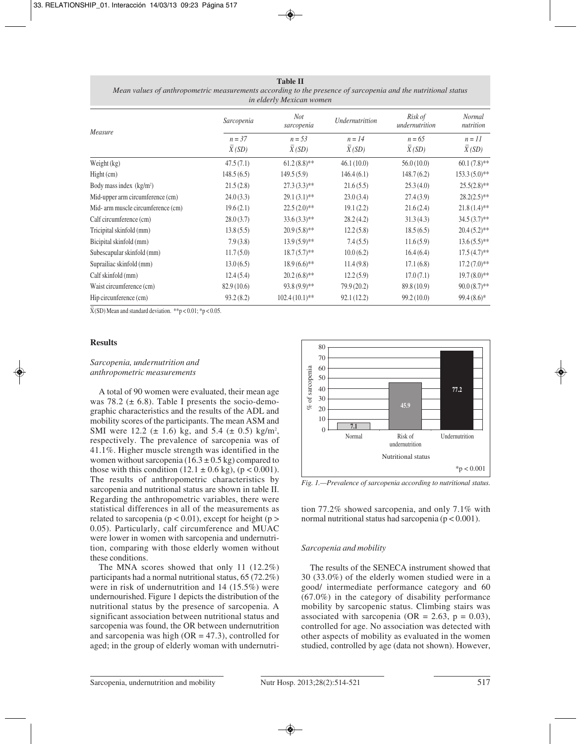|                                    |                   | $\cdots$ everet $\cdots$ theoreem themen |                   |                                 |                     |
|------------------------------------|-------------------|------------------------------------------|-------------------|---------------------------------|---------------------|
| Measure                            | Sarcopenia        | <b>Not</b><br>sarcopenia                 | Undernutrittion   | Risk of<br>undernutrition       | Normal<br>nutrition |
|                                    | $n = 37$<br>X(SD) | $n = 53$<br>X(SD)                        | $n = 14$<br>X(SD) | $n = 65$<br>$\overline{X}$ (SD) | $n = 11$<br>X(SD)   |
| Weight (kg)                        | 47.5(7.1)         | $61.2(8.8)$ **                           | 46.1(10.0)        | 56.0(10.0)                      | $60.1(7.8)$ **      |
| Hight (cm)                         | 148.5(6.5)        | 149.5(5.9)                               | 146.4(6.1)        | 148.7(6.2)                      | $153.3(5.0)*$       |
| Body mass index $(kg/m2)$          | 21.5(2.8)         | $27.3(3.3)$ **                           | 21.6(5.5)         | 25.3(4.0)                       | $25.5(2.8)$ **      |
| Mid-upper arm circumference (cm)   | 24.0(3.3)         | $29.1(3.1)$ **                           | 23.0(3.4)         | 27.4(3.9)                       | $28.2(2.5)$ **      |
| Mid- arm muscle circumference (cm) | 19.6(2.1)         | $22.5(2.0)*$                             | 19.1(2.2)         | 21.6(2.4)                       | $21.8(1.4)$ **      |
| Calf circumference (cm)            | 28.0(3.7)         | $33.6(3.3)$ **                           | 28.2(4.2)         | 31.3(4.3)                       | $34.5(3.7)$ **      |
| Tricipital skinfold (mm)           | 13.8(5.5)         | $20.9(5.8)$ **                           | 12.2(5.8)         | 18.5(6.5)                       | $20.4(5.2)$ **      |
| Bicipital skinfold (mm)            | 7.9(3.8)          | $13.9(5.9)*$                             | 7.4(5.5)          | 11.6(5.9)                       | $13.6(5.5)$ **      |
| Subescapular skinfold (mm)         | 11.7(5.0)         | $18.7(5.7)$ **                           | 10.0(6.2)         | 16.4(6.4)                       | $17.5(4.7)$ **      |
| Suprailiac skinfold (mm)           | 13.0(6.5)         | $18.9(6.6)$ **                           | 11.4(9.8)         | 17.1(6.8)                       | $17.2(7.0)**$       |
| Calf skinfold (mm)                 | 12.4(5.4)         | $20.2(6.8)$ **                           | 12.2(5.9)         | 17.0(7.1)                       | $19.7(8.0)$ **      |
| Waist circumference (cm)           | 82.9(10.6)        | $93.8(9.9)$ **                           | 79.9(20.2)        | 89.8 (10.9)                     | $90.0(8.7)$ **      |
| Hip circunference (cm)             | 93.2(8.2)         | $102.4(10.1)$ **                         | 92.1(12.2)        | 99.2(10.0)                      | $99.4(8.6)*$        |
|                                    |                   |                                          |                   |                                 |                     |

**Table II** *Mean values of anthropometric measurements according to the presence of sarcopenia and the nutritional status in elderly Mexican women*

 $\overline{X}$ (SD) Mean and standard deviation. \*\*p < 0.01; \*p < 0.05.

#### **Results**

### *Sarcopenia, undernutrition and anthropometric measurements*

A total of 90 women were evaluated, their mean age was 78.2 ( $\pm$  6.8). Table I presents the socio-demographic characteristics and the results of the ADL and mobility scores of the participants. The mean ASM and SMI were 12.2 ( $\pm$  1.6) kg, and 5.4 ( $\pm$  0.5) kg/m<sup>2</sup>, respectively. The prevalence of sarcopenia was of 41.1%. Higher muscle strength was identified in the women without sarcopenia ( $16.3 \pm 0.5$  kg) compared to those with this condition  $(12.1 \pm 0.6 \text{ kg})$ ,  $(p < 0.001)$ . The results of anthropometric characteristics by sarcopenia and nutritional status are shown in table II. Regarding the anthropometric variables, there were statistical differences in all of the measurements as related to sarcopenia ( $p < 0.01$ ), except for height ( $p >$ 0.05). Particularly, calf circumference and MUAC were lower in women with sarcopenia and undernutrition, comparing with those elderly women without these conditions.

The MNA scores showed that only 11 (12.2%) participants had a normal nutritional status, 65 (72.2%) were in risk of undernutrition and 14 (15.5%) were undernourished. Figure 1 depicts the distribution of the nutritional status by the presence of sarcopenia. A significant association between nutritional status and sarcopenia was found, the OR between undernutrition and sarcopenia was high  $(OR = 47.3)$ , controlled for aged; in the group of elderly woman with undernutri-



*Fig. 1.—Prevalence of sarcopenia according to nutritional status.*

tion 77.2% showed sarcopenia, and only 7.1% with normal nutritional status had sarcopenia ( $p < 0.001$ ).

#### *Sarcopenia and mobility*

The results of the SENECA instrument showed that 30 (33.0%) of the elderly women studied were in a good/ intermediate performance category and 60 (67.0%) in the category of disability performance mobility by sarcopenic status. Climbing stairs was associated with sarcopenia (OR =  $2.63$ , p = 0.03), controlled for age. No association was detected with other aspects of mobility as evaluated in the women studied, controlled by age (data not shown). However,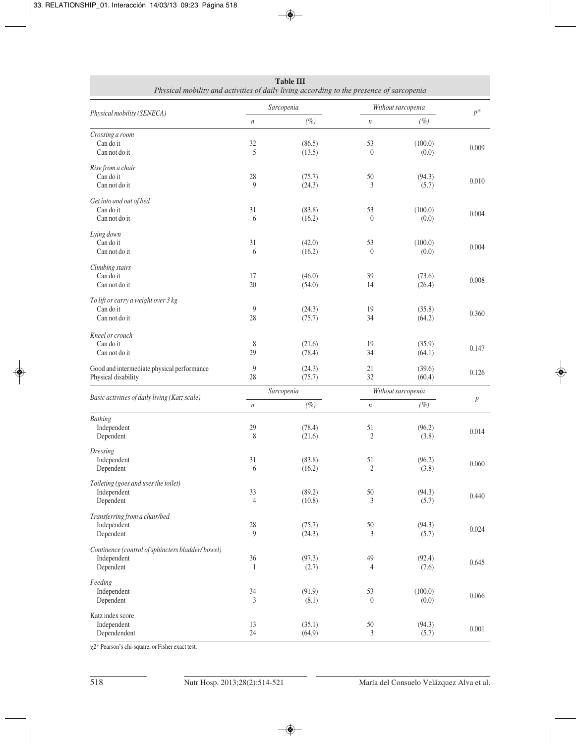| Physical mobility and activities of daily living according to the presence of sarcopenia |                      |                  |                      |                  |         |
|------------------------------------------------------------------------------------------|----------------------|------------------|----------------------|------------------|---------|
| Physical mobility (SENECA)                                                               | Sarcopenia           |                  | Without sarcopenia   |                  | $p^*$   |
|                                                                                          | $\,$                 | $(\%)$           | $\,n$                | $(\%)$           |         |
| Crossing a room<br>Can do it<br>Can not do it                                            | 32<br>5              | (86.5)<br>(13.5) | 53<br>$\theta$       | (100.0)<br>(0.0) | 0.009   |
| Rise from a chair<br>Can do it<br>Can not do it                                          | 28<br>9              | (75.7)<br>(24.3) | 50<br>3              | (94.3)<br>(5.7)  | 0.010   |
| Get into and out of bed<br>Can do it<br>Can not do it                                    | 31<br>6              | (83.8)<br>(16.2) | 53<br>$\theta$       | (100.0)<br>(0.0) | 0.004   |
| Lying down<br>Can do it<br>Can not do it                                                 | 31<br>6              | (42.0)<br>(16.2) | 53<br>$\theta$       | (100.0)<br>(0.0) | 0.004   |
| Climbing stairs<br>Can do it<br>Can not do it                                            | 17<br>20             | (46.0)<br>(54.0) | 39<br>14             | (73.6)<br>(26.4) | 0.008   |
| To lift or carry a weight over 3 kg<br>Can do it<br>Can not do it                        | 9<br>28              | (24.3)<br>(75.7) | 19<br>34             | (35.8)<br>(64.2) | 0.360   |
| Kneel or crouch<br>Can do it<br>Can not do it                                            | 8<br>29              | (21.6)<br>(78.4) | 19<br>34             | (35.9)<br>(64.1) | 0.147   |
| Good and intermediate physical performance<br>Physical disability                        | 9<br>28              | (24.3)<br>(75.7) | 21<br>32             | (39.6)<br>(60.4) | 0.126   |
|                                                                                          | Sarcopenia           |                  | Without sarcopenia   |                  |         |
| Basic activities of daily living (Katz scale)                                            | $\,$                 | $(\%)$           | $\,n$                | $(\%)$           | $\,p\,$ |
| <b>Bathing</b><br>Independent<br>Dependent                                               | 29<br>8              | (78.4)<br>(21.6) | 51<br>$\mathfrak{2}$ | (96.2)<br>(3.8)  | 0.014   |
| Dressing<br>Independent<br>Dependent                                                     | 31<br>6              | (83.8)<br>(16.2) | 51<br>$\mathfrak{2}$ | (96.2)<br>(3.8)  | 0.060   |
| Toileting (goes and uses the toilet)<br>Independent<br>Dependent                         | 33<br>$\overline{4}$ | (89.2)<br>(10.8) | 50<br>3              | (94.3)<br>(5.7)  | 0.440   |
| Transferring from a chair/bed<br>Independent<br>Dependent                                | $28\,$<br>9          | (75.7)<br>(24.3) | $50\,$<br>3          | (94.3)<br>(5.7)  | 0.024   |
| Continence (control of sphincters bladder/bowel)<br>Independent<br>Dependent             | 36<br>1              | (97.3)<br>(2.7)  | 49<br>4              | (92.4)<br>(7.6)  | 0.645   |
| Feeding<br>Independent<br>Dependent                                                      | 34<br>3              | (91.9)<br>(8.1)  | 53<br>$\theta$       | (100.0)<br>(0.0) | 0.066   |
| Katz index score<br>Independent<br>Dependendent                                          | 13<br>24             | (35.1)<br>(64.9) | $50\,$<br>3          | (94.3)<br>(5.7)  | 0.001   |

| <b>Table III</b>                                                                        |
|-----------------------------------------------------------------------------------------|
| Physical mobility and activities of daily living according to the presence of sarcopeni |

 $\overline{\chi^{2*}}$  Pearson's chi-square, or Fisher exact test.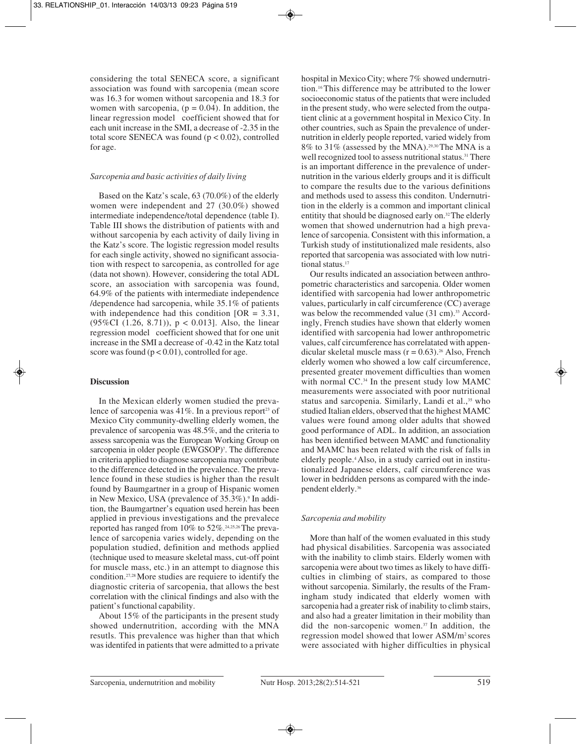considering the total SENECA score, a significant association was found with sarcopenia (mean score was 16.3 for women without sarcopenia and 18.3 for women with sarcopenia,  $(p = 0.04)$ . In addition, the linear regression model coefficient showed that for each unit increase in the SMI, a decrease of -2.35 in the total score SENECA was found ( $p < 0.02$ ), controlled for age.

#### *Sarcopenia and basic activities of daily living*

Based on the Katz's scale, 63 (70.0%) of the elderly women were independent and 27 (30.0%) showed intermediate independence/total dependence (table I). Table III shows the distribution of patients with and without sarcopenia by each activity of daily living in the Katz's score. The logistic regression model results for each single activity, showed no significant association with respect to sarcopenia, as controlled for age (data not shown). However, considering the total ADL score, an association with sarcopenia was found, 64.9% of the patients with intermediate independence /dependence had sarcopenia, while 35.1% of patients with independence had this condition  $[OR = 3.31]$ , (95%CI (1.26, 8.71)),  $p < 0.013$ ]. Also, the linear regression model coefficient showed that for one unit increase in the SMI a decrease of -0.42 in the Katz total score was found  $(p < 0.01)$ , controlled for age.

# **Discussion**

In the Mexican elderly women studied the prevalence of sarcopenia was  $41\%$ . In a previous report<sup>23</sup> of Mexico City community-dwelling elderly women, the prevalence of sarcopenia was 48.5%, and the criteria to assess sarcopenia was the European Working Group on sarcopenia in older people (EWGSOP)<sup>7</sup>. The difference in criteria applied to diagnose sarcopenia may contribute to the difference detected in the prevalence. The prevalence found in these studies is higher than the result found by Baumgartner in a group of Hispanic women in New Mexico, USA (prevalence of 35.3%).<sup>9</sup> In addition, the Baumgartner's equation used herein has been applied in previous investigations and the prevalece reported has ranged from 10% to 52%.24,25,26 The prevalence of sarcopenia varies widely, depending on the population studied, definition and methods applied (technique used to measure skeletal mass, cut-off point for muscle mass, etc.) in an attempt to diagnose this condition.27,28 More studies are requiere to identify the diagnostic criteria of sarcopenia, that allows the best correlation with the clinical findings and also with the patient's functional capability.

About 15% of the participants in the present study showed undernutrition, according with the MNA resutls. This prevalence was higher than that which was identifed in patients that were admitted to a private

hospital in Mexico City; where 7% showed undernutrition.16 This difference may be attributed to the lower socioeconomic status of the patients that were included in the present study, who were selected from the outpatient clinic at a government hospital in Mexico City. In other countries, such as Spain the prevalence of undernutrition in elderly people reported, varied widely from 8% to 31% (assessed by the MNA).29,30 The MNA is a well recognized tool to assess nutritional status.<sup>31</sup> There is an important difference in the prevalence of undernutrition in the various elderly groups and it is difficult to compare the results due to the various definitions and methods used to assess this conditon. Undernutrition in the elderly is a common and important clinical entitity that should be diagnosed early on.32 The elderly women that showed undernutrion had a high prevalence of sarcopenia. Consistent with this information, a Turkish study of institutionalized male residents, also reported that sarcopenia was associated with low nutritional status.<sup>17</sup>

Our results indicated an association between anthropometric characteristics and sarcopenia. Older women identified with sarcopenia had lower anthropometric values, particularly in calf circumference (CC) average was below the recommended value (31 cm).<sup>33</sup> Accordingly, French studies have shown that elderly women identified with sarcopenia had lower anthropometric values, calf circumference has correlatated with appendicular skeletal muscle mass  $(r = 0.63)$ .<sup>26</sup> Also, French elderly women who showed a low calf circumference, presented greater movement difficulties than women with normal CC.<sup>34</sup> In the present study low MAMC measurements were associated with poor nutritional status and sarcopenia. Similarly, Landi et al.,<sup>35</sup> who studied Italian elders, observed that the highest MAMC values were found among older adults that showed good performance of ADL. In addition, an association has been identified between MAMC and functionality and MAMC has been related with the risk of falls in elderly people.4 Also, in a study carried out in institutionalized Japanese elders, calf circumference was lower in bedridden persons as compared with the independent elderly.36

# *Sarcopenia and mobility*

More than half of the women evaluated in this study had physical disabilities. Sarcopenia was associated with the inability to climb stairs. Elderly women with sarcopenia were about two times as likely to have difficulties in climbing of stairs, as compared to those without sarcopenia. Similarly, the results of the Framingham study indicated that elderly women with sarcopenia had a greater risk of inability to climb stairs, and also had a greater limitation in their mobility than did the non-sarcopenic women.37 In addition, the regression model showed that lower ASM/m2 scores were associated with higher difficulties in physical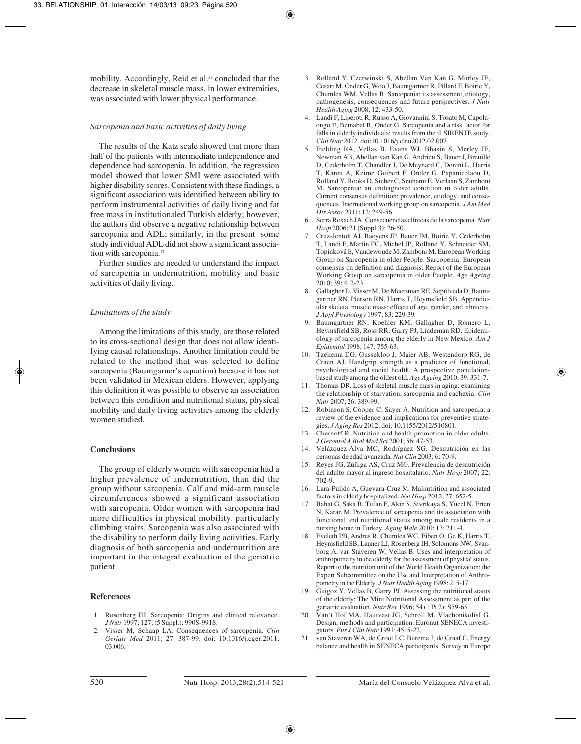mobility. Accordingly, Reid et al.<sup>38</sup> concluded that the decrease in skeletal muscle mass, in lower extremities, was associated with lower physical performance.

#### *Sarcopenia and basic activities of daily living*

The results of the Katz scale showed that more than half of the patients with intermediate independence and dependence had sarcopenia. In addition, the regression model showed that lower SMI were associated with higher disability scores. Consistent with these findings, a significant association was identified between ability to perform instrumental activities of daily living and fat free mass in institutionaled Turkish elderly; however, the authors did observe a negative relationship between sarcopenia and ADL; similarly, in the present some study individual ADL did not show a significant association with sarcopenia.<sup>17</sup>

Further studies are needed to understand the impact of sarcopenia in undernutrition, mobility and basic activities of daily living.

#### *Limitations of the study*

Among the limitations of this study, are those related to its cross-sectional design that does not allow identifying causal relationships. Another limitation could be related to the method that was selected to define sarcopenia (Baumgarner's equation) because it has not been validated in Mexican elders. However, applying this definition it was possible to observe an association between this condition and nutritional status, physical mobility and daily living activities among the elderly women studied.

#### **Conclusions**

The group of elderly women with sarcopenia had a higher prevalence of undernutrition, than did the group without sarcopenia. Calf and mid-arm muscle circumferences showed a significant association with sarcopenia. Older women with sarcopenia had more difficulties in physical mobility, particularly climbing stairs. Sarcopenia was also associated with the disability to perform daily living activities. Early diagnosis of both sarcopenia and undernutrition are important in the integral evaluation of the geriatric patient.

### **References**

- 1. Rosenberg IH. Sarcopenia: Origins and clinical relevance. *J Nutr* 1997; 127; (5 Suppl.): 990S-991S.
- 2. Visser M, Schaap LA. Consequences of sarcopenia. *Clin Geriatr Med* 2011; 27: 387-99. doi: 10.1016/j.cger.2011. 03.006.
- 3. Rolland Y, Czerwinski S, Abellan Van Kan G, Morley JE, Cesari M, Onder G, Woo J, Baumgartner R, Pillard F, Boirie Y, Chumlea WM, Vellas B. Sarcopenia: its assessment, etiology, pathogenesis, consequences and future perspectives. *J Nutr Health Aging* 2008; 12: 433-50.
- 4. Landi F, Liperoti R, Russo A, Giovannini S, Tosato M, Capoluongo E, Bernabei R, Onder G. Sarcopenia and a risk factor for falls in elderly individuals: results from the iLSIRENTE study. *Clin Nutr* 2012. doi:10.1016/j.clnu2012.02.007
- 5. Fielding RA, Vellas B, Evans WJ, Bhasin S, Morley JE, Newman AB, Abellan van Kan G, Andrieu S, Bauer J, Breuille D, Cederholm T, Chandler J, De Meynard C, Donini L, Harris T, Kannt A, Keime Guibert F, Onder G, Papanicolaou D, Rolland Y, Rooks D, Sieber C, Souhami E, Verlaan S, Zamboni M. Sarcopenia: an undiagnosed condition in older adults. Current consensus definition: prevalence, etiology, and consequences. International working group on sarcopenia. *J Am Med Dir Assoc* 2011; 12: 249-56.
- 6. Serra Rexach JA. Consecuencias clínicas de la sarcopenia. *Nutr Hosp* 2006; 21 (Suppl.3): 26-50.
- 7. Cruz-Jentoft AJ, Baeyens JP, Bauer JM, Boirie Y, Cederholm T, Landi F, Martin FC, Michel JP, Rolland Y, Schneider SM, Topinková E, Vandewoude M, Zamboni M. European Working Group on Sarcopenia in older People. Sarcopenia: European consensus on definition and diagnosis: Report of the European Working Group on sarcopenia in older People. *Age Ageing* 2010; 39: 412-23.
- 8. Gallagher D, Visser M, De Meersman RE, Sepúlveda D, Baumgartner RN, Pierson RN, Harris T, Heymsfield SB. Appendicular skeletal muscle mass: effects of age, gender, and ethnicity. *J Appl Physiology* 1997; 83: 229-39*.*
- 9. Baumgartner RN, Koehler KM, Gallagher D, Romero L, Heymsfield SB, Ross RR, Garry PJ, Lindeman RD. Epidemiology of sarcopenia among the elderly in New Mexico. *Am J Epidemiol* 1998; 147: 755-63.
- 10. Taekema DG, Gussekloo J, Maier AB, Westendorp RG, de Craen AJ. Handgrip strength as a predictor of functional, psychological and social health. A prospective populationbased study among the oldest old. *Age Ageing* 2010; 39: 331-7.
- 11. Thomas DR. Loss of skeletal muscle mass in aging: examining the relationship of starvation, sarcopenia and cachexia. *Clin Nutr* 2007; 26: 389-99.
- 12. Robinson S, Cooper C, Sayer A. Nutrition and sarcopenia: a review of the evidence and implications for preventive strategies. *J Aging Res* 2012; doi: 10.1155/2012/510801.
- 13. Chernoff R. Nutrition and health promotion in older adults. *J Gerontol A Biol Med Sci* 2001; 56: 47-53.
- 14. Velázquez-Alva MC, Rodríguez SG. Desnutrición en las personas de edad avanzada. *Nut Clin* 2003; 6: 70-9.
- 15. Reyes JG, Zúñiga AS, Cruz MG. Prevalencia de desnutrición del adulto mayor al ingreso hospitalario. *Nutr Hosp* 2007; 22: 702-9.
- 16. Lara-Pulido A, Guevara-Cruz M. Malnutrition and associated factors in elderly hospitalized. *Nut Hosp* 2012; 27: 652-5.
- 17. Bahat G, Saka B, Tufan F, Akin S, Sivrikaya S, Yucel N, Erten N, Karan M. Prevalence of sarcopenia and its association with functional and nutritional status among male residents in a nursing home in Turkey. *Aging Male* 2010; 13: 211-4.
- 18. Eveleth PB, Andres R, Chumlea WC, Eiben O, Ge K, Harris T, Heymsfield SB, Launer LJ, Rosenberg IH, Solomons NW, Svanborg A, van Staveren W, Vellas B. Uses and interpretation of anthropometry in the elderly for the assessment of physical status. Report to the nutrition unit of the World Health Organization: the Expert Subcommittee on the Use and Interpretation of Anthropometry in the Elderly. *J Nutr Health Aging* 1998; 2: 5-17.
- 19. Guigoz Y, Vellas B, Garry PJ. Assessing the nutritional status of the elderly: The Mini Nutritional Assessment as part of the geriatric evaluation. *Nutr Rev* 1996; 54 (1 Pt 2): S59-65.
- 20. Van't Hof MA, Hautvast JG, Schroll M, VlachonikolisI G. Design, methods and participation. Euronut SENECA investigators. *Eur J Clin Nutr* 1991; 45: 5-22.
- 21. van Staveren WA, de Groot LC, Burema J, de Graaf C. Energy balance and health in SENECA participants. Survey in Europe